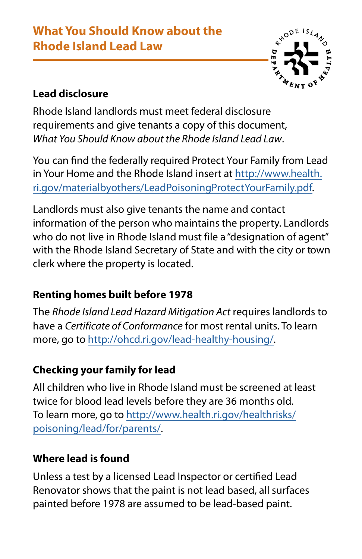# **What You Should Know about the Rhode Island Lead Law**



## **Lead disclosure**

Rhode Island landlords must meet federal disclosure requirements and give tenants a copy of this document, *What You Should Know about the Rhode Island Lead Law*.

You can find the federally required Protect Your Family from Lead in Your Home and the Rhode Island insert at [http://www.health.](http://www.health.ri.gov/materialbyothers/LeadPoisoningProtectYourFamily.pdf) [ri.gov/materialbyothers/LeadPoisoningProtectYourFamily.pdf.](http://www.health.ri.gov/materialbyothers/LeadPoisoningProtectYourFamily.pdf) 

Landlords must also give tenants the name and contact information of the person who maintains the property. Landlords who do not live in Rhode Island must file a "designation of agent" with the Rhode Island Secretary of State and with the city or town clerk where the property is located.

## **Renting homes built before 1978**

The Rhode Island Lead Hazard Mitigation Act requires landlords to have a *Certificate of Conformance* for most rental units. To learn more, go to [http://ohcd.ri.gov/lead-healthy-housing/.](http://ohcd.ri.gov/lead-healthy-housing/)

## **Checking your family for lead**

All children who live in Rhode Island must be screened at least twice for blood lead levels before they are 36 months old. To learn more, go to [http://www.health.ri.gov/healthrisks/](http://www.health.ri.gov/healthrisks/poisoning/lead/for/parents/) [poisoning/lead/for/parents/.](http://www.health.ri.gov/healthrisks/poisoning/lead/for/parents/)

### **Where lead is found**

Unless a test by a licensed Lead Inspector or certified Lead Renovator shows that the paint is not lead based, all surfaces painted before 1978 are assumed to be lead-based paint.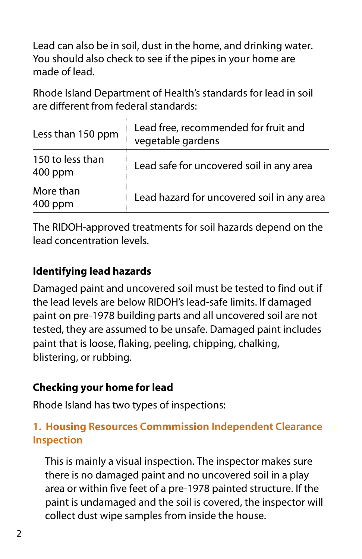Lead can also be in soil, dust in the home, and drinking water. You should also check to see if the pipes in your home are made of lead.

Rhode Island Department of Health's standards for lead in soil are different from federal standards:

| Less than 150 ppm           | Lead free, recommended for fruit and<br>vegetable gardens |
|-----------------------------|-----------------------------------------------------------|
| 150 to less than<br>400 ppm | Lead safe for uncovered soil in any area                  |
| More than<br>400 ppm        | Lead hazard for uncovered soil in any area                |

The RIDOH-approved treatments for soil hazards depend on the lead concentration levels.

### **Identifying lead hazards**

Damaged paint and uncovered soil must be tested to find out if the lead levels are below RIDOH's lead-safe limits. If damaged paint on pre-1978 building parts and all uncovered soil are not tested, they are assumed to be unsafe. Damaged paint includes paint that is loose, flaking, peeling, chipping, chalking, blistering, or rubbing.

## **Checking your home for lead**

Rhode Island has two types of inspections:

### **1. Housing Resources Commmission Independent Clearance Inspection**

This is mainly a visual inspection. The inspector makes sure there is no damaged paint and no uncovered soil in a play area or within five feet of a pre-1978 painted structure. If the paint is undamaged and the soil is covered, the inspector will collect dust wipe samples from inside the house.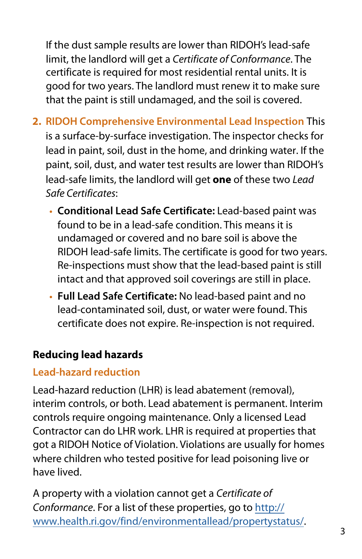If the dust sample results are lower than RIDOH's lead-safe limit, the landlord will get a *Certificate of Conformance*. The certificate is required for most residential rental units. It is good for two years. The landlord must renew it to make sure that the paint is still undamaged, and the soil is covered.

- **2. RIDOH Comprehensive Environmental Lead Inspection** This is a surface-by-surface investigation. The inspector checks for lead in paint, soil, dust in the home, and drinking water. If the paint, soil, dust, and water test results are lower than RIDOH's lead-safe limits, the landlord will get **one** of these two *Lead Safe Certificates*:
	- **• Conditional Lead Safe Certificate:** Lead-based paint was found to be in a lead-safe condition. This means it is undamaged or covered and no bare soil is above the RIDOH lead-safe limits. The certificate is good for two years. Re-inspections must show that the lead-based paint is still intact and that approved soil coverings are still in place.
	- **• Full Lead Safe Certificate:** No lead-based paint and no lead-contaminated soil, dust, or water were found. This certificate does not expire. Re-inspection is not required.

## **Reducing lead hazards**

## **Lead-hazard reduction**

Lead-hazard reduction (LHR) is lead abatement (removal), interim controls, or both. Lead abatement is permanent. Interim controls require ongoing maintenance. Only a licensed Lead Contractor can do LHR work. LHR is required at properties that got a RIDOH Notice of Violation. Violations are usually for homes where children who tested positive for lead poisoning live or have lived.

A property with a violation cannot get a *[Certificate of](http://www.health.ri.gov/find/environmentallead/propertystatus/)  Conformance*. For a list of these properties, go to http:// www.health.ri.gov/find/[environmentallead/propertystatus/.](http://www.health.ri.gov/find/environmentallead/propertystatus/)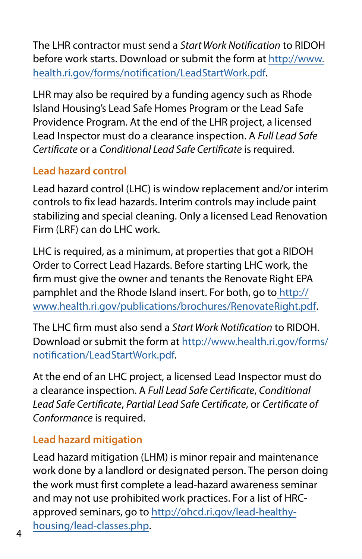The LHR contractor must send a Start Work Notification to RIDOH before work starts. Download or submit the form at [http://www.](http://www.health.ri.gov/forms/notification/LeadStartWork.pdf) [health.ri.gov/forms/notification/LeadStartWork.pdf.](http://www.health.ri.gov/forms/notification/LeadStartWork.pdf)

LHR may also be required by a funding agency such as Rhode Island Housing's Lead Safe Homes Program or the Lead Safe Providence Program. At the end of the LHR project, a licensed Lead Inspector must do a clearance inspection. A *Full Lead Safe Certificate* or a *Conditional Lead Safe Certificate* is required.

### **Lead hazard control**

Lead hazard control (LHC) is window replacement and/or interim controls to fix lead hazards. Interim controls may include paint stabilizing and special cleaning. Only a licensed Lead Renovation Firm (LRF) can do LHC work.

LHC is required, as a minimum, at properties that got a RIDOH Order to Correct Lead Hazards. Before starting LHC work, the firm must give the owner and tenants the Renovate Right EPA pamphlet and the Rhode Island insert. For both, go to [http://](http://www.health.ri.gov/publications/brochures/RenovateRight.pdf) [www.health.ri.gov/publications/brochures/RenovateRight.pdf.](http://www.health.ri.gov/publications/brochures/RenovateRight.pdf)

The LHC firm must also send a Start Work Notification to RIDOH. Download or submit the form at [http://www.health.ri.gov/forms/](http://www.health.ri.gov/forms/notification/LeadStartWork.pdf) [notification/LeadStartWork.pdf.](http://www.health.ri.gov/forms/notification/LeadStartWork.pdf)

At the end of an LHC project, a licensed Lead Inspector must do a clearance inspection. A *Full Lead Safe Certificate*, *Conditional Lead Safe Certificate*, *Partial Lead Safe Certificate*, or *Certificate of Conformance* is required.

## **Lead hazard mitigation**

Lead hazard mitigation (LHM) is minor repair and maintenance work done by a landlord or designated person. The person doing the work must first complete a lead-hazard awareness seminar and may not use prohibited work practices. For a list of HRCapproved semi[nars, go to http://ohcd.ri.gov/lead-healthy](http://ohcd.ri.gov/lead-healthy-housing/lead-classes.php)housing/lead-[classes.php](http://ohcd.ri.gov/lead-healthy-housing/lead-classes.php).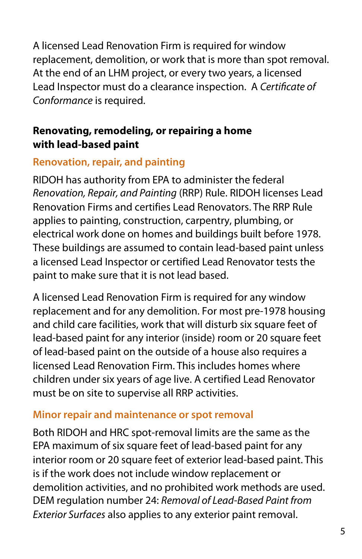A licensed Lead Renovation Firm is required for window replacement, demolition, or work that is more than spot removal. At the end of an LHM project, or every two years, a licensed Lead Inspector must do a clearance inspection. A *Certificate of Conformance* is required.

#### **Renovating, remodeling, or repairing a home with lead-based paint**

### **Renovation, repair, and painting**

RIDOH has authority from EPA to administer the federal Renovation, Repair, and Painting (RRP) Rule. RIDOH licenses Lead Renovation Firms and certifies Lead Renovators. The RRP Rule applies to painting, construction, carpentry, plumbing, or electrical work done on homes and buildings built before 1978. These buildings are assumed to contain lead-based paint unless a licensed Lead Inspector or certified Lead Renovator tests the paint to make sure that it is not lead based.

A licensed Lead Renovation Firm is required for any window replacement and for any demolition. For most pre-1978 housing and child care facilities, work that will disturb six square feet of lead-based paint for any interior (inside) room or 20 square feet of lead-based paint on the outside of a house also requires a licensed Lead Renovation Firm. This includes homes where children under six years of age live. A certified Lead Renovator must be on site to supervise all RRP activities.

### **Minor repair and maintenance or spot removal**

Both RIDOH and HRC spot-removal limits are the same as the EPA maximum of six square feet of lead-based paint for any interior room or 20 square feet of exterior lead-based paint. This is if the work does not include window replacement or demolition activities, and no prohibited work methods are used. DEM regulation number 24: *Removal of Lead-Based Paint from Exterior Surfaces* also applies to any exterior paint removal.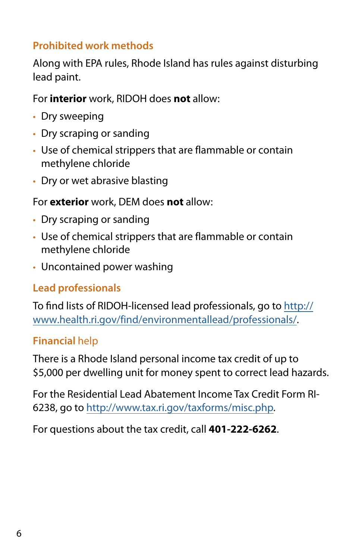### **Prohibited work methods**

Along with EPA rules, Rhode Island has rules against disturbing lead paint.

For **interior** work, RIDOH does **not** allow:

- Dry sweeping
- Dry scraping or sanding
- Use of chemical strippers that are flammable or contain methylene chloride
- Dry or wet abrasive blasting

#### For **exterior** work, DEM does **not** allow:

- Dry scraping or sanding
- Use of chemical strippers that are flammable or contain methylene chloride
- Uncontained power washing

### **Lead professionals**

To find lists of RIDOH-licensed lead professionals, go to [http://](http://www.health.ri.gov/find/environmentallead/professionals/) [www.health.ri.gov/find/environmentallead/professionals/.](http://www.health.ri.gov/find/environmentallead/professionals/)

### **Financial** help

There is a Rhode Island personal income tax credit of up to \$5,000 per dwelling unit for money spent to correct lead hazards.

For the Residential Lead Abatement Income Tax Credit Form RI-6238, go to <http://www.tax.ri.gov/taxforms/misc.php>.

For questions about the tax credit, call **401-222-6262**.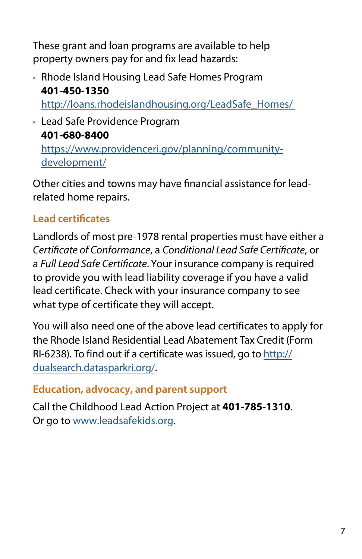These grant and loan programs are available to help property owners pay for and fix lead hazards:

• Rhode Island Housing Lead Safe Homes Program **401-450-1350**

[http://loans.rhodeislandhousing.org/LeadSafe\\_Homes/](http://loans.rhodeislandhousing.org/LeadSafe_Homes/)

• Lead Safe Providence Program **401-680-8400**

[https://www.providenceri.gov/planning/community](https://www.providenceri.gov/planning/community-development/)[development/](https://www.providenceri.gov/planning/community-development/)

Other cities and towns may have financial assistance for leadrelated home repairs.

# **Lead certificates**

Landlords of most pre-1978 rental properties must have either a *Certificate of Conformance*, a *Conditional Lead Safe Certificate*, or a *Full Lead Safe Certificate*. Your insurance company is required to provide you with lead liability coverage if you have a valid lead certificate. Check with your insurance company to see what type of certificate they will accept.

You will also need one of the above lead certificates to apply for the Rhode Island Residential Lead Abatement Tax Credit (Form [RI-6238\). To find out if a certificate was issued, go to http://](http://dualsearch.datasparkri.org/) dualsearch.datasparkri.org/.

### **Education, advocacy, and parent support**

Call the [Childhood Lead Action](http://www.leadsafekids.org) Project at **401-785-1310**. Or go to www.leadsafekids.org.